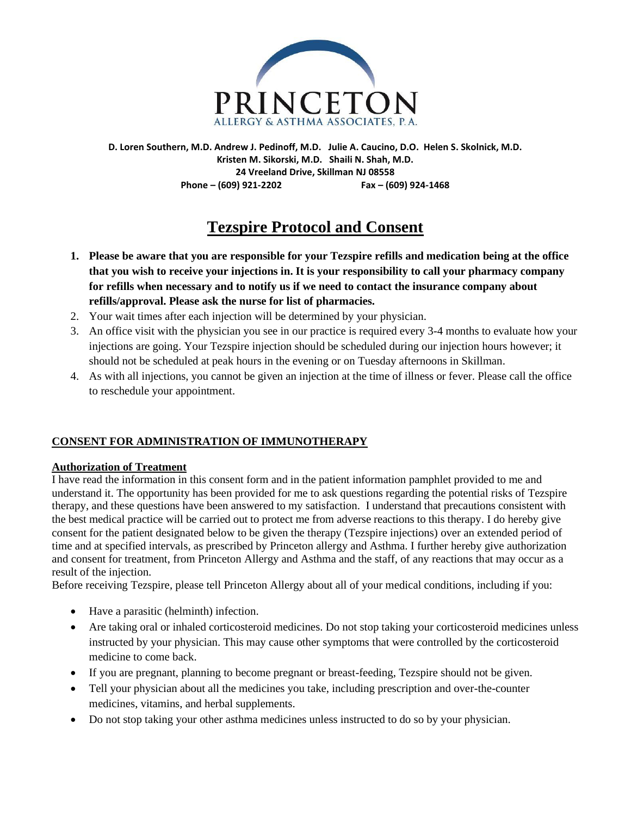

**D. Loren Southern, M.D. Andrew J. Pedinoff, M.D. Julie A. Caucino, D.O. Helen S. Skolnick, M.D. Kristen M. Sikorski, M.D. Shaili N. Shah, M.D. 24 Vreeland Drive, Skillman NJ 08558 Phone – (609) 921-2202 Fax – (609) 924-1468**

# **Tezspire Protocol and Consent**

- **1. Please be aware that you are responsible for your Tezspire refills and medication being at the office that you wish to receive your injections in. It is your responsibility to call your pharmacy company for refills when necessary and to notify us if we need to contact the insurance company about refills/approval. Please ask the nurse for list of pharmacies.**
- 2. Your wait times after each injection will be determined by your physician.
- 3. An office visit with the physician you see in our practice is required every 3-4 months to evaluate how your injections are going. Your Tezspire injection should be scheduled during our injection hours however; it should not be scheduled at peak hours in the evening or on Tuesday afternoons in Skillman.
- 4. As with all injections, you cannot be given an injection at the time of illness or fever. Please call the office to reschedule your appointment.

## **CONSENT FOR ADMINISTRATION OF IMMUNOTHERAPY**

#### **Authorization of Treatment**

I have read the information in this consent form and in the patient information pamphlet provided to me and understand it. The opportunity has been provided for me to ask questions regarding the potential risks of Tezspire therapy, and these questions have been answered to my satisfaction. I understand that precautions consistent with the best medical practice will be carried out to protect me from adverse reactions to this therapy. I do hereby give consent for the patient designated below to be given the therapy (Tezspire injections) over an extended period of time and at specified intervals, as prescribed by Princeton allergy and Asthma. I further hereby give authorization and consent for treatment, from Princeton Allergy and Asthma and the staff, of any reactions that may occur as a result of the injection.

Before receiving Tezspire, please tell Princeton Allergy about all of your medical conditions, including if you:

- Have a parasitic (helminth) infection.
- Are taking oral or inhaled corticosteroid medicines. Do not stop taking your corticosteroid medicines unless instructed by your physician. This may cause other symptoms that were controlled by the corticosteroid medicine to come back.
- If you are pregnant, planning to become pregnant or breast-feeding, Tezspire should not be given.
- Tell your physician about all the medicines you take, including prescription and over-the-counter medicines, vitamins, and herbal supplements.
- Do not stop taking your other asthma medicines unless instructed to do so by your physician.